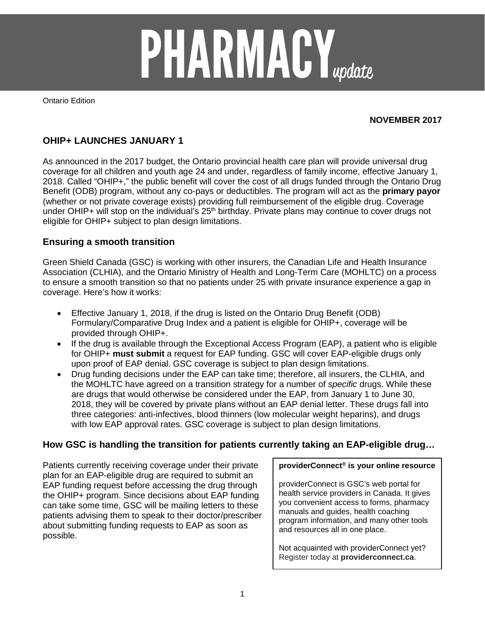

Ontario Edition

### **NOVEMBER 2017**

## **OHIP+ LAUNCHES JANUARY 1**

As announced in the 2017 budget, the Ontario provincial health care plan will provide universal drug coverage for all children and youth age 24 and under, regardless of family income, effective January 1, 2018. Called "OHIP+," the public benefit will cover the cost of all drugs funded through the Ontario Drug Benefit (ODB) program, without any co-pays or deductibles. The program will act as the **primary payor** (whether or not private coverage exists) providing full reimbursement of the eligible drug. Coverage under OHIP+ will stop on the individual's 25<sup>th</sup> birthday. Private plans may continue to cover drugs not eligible for OHIP+ subject to plan design limitations.

### **Ensuring a smooth transition**

Green Shield Canada (GSC) is working with other insurers, the Canadian Life and Health Insurance Association (CLHIA), and the Ontario Ministry of Health and Long-Term Care (MOHLTC) on a process to ensure a smooth transition so that no patients under 25 with private insurance experience a gap in coverage. Here's how it works:

- Effective January 1, 2018, if the drug is listed on the Ontario Drug Benefit (ODB) Formulary/Comparative Drug Index and a patient is eligible for OHIP+, coverage will be provided through OHIP+.
- If the drug is available through the Exceptional Access Program (EAP), a patient who is eligible for OHIP+ **must submit** a request for EAP funding. GSC will cover EAP-eligible drugs only upon proof of EAP denial. GSC coverage is subject to plan design limitations.
- Drug funding decisions under the EAP can take time; therefore, all insurers, the CLHIA, and the MOHLTC have agreed on a transition strategy for a number of *specific* drugs. While these are drugs that would otherwise be considered under the EAP, from January 1 to June 30, 2018, they will be covered by private plans without an EAP denial letter. These drugs fall into three categories: anti-infectives, blood thinners (low molecular weight heparins), and drugs with low EAP approval rates. GSC coverage is subject to plan design limitations.

### **How GSC is handling the transition for patients currently taking an EAP-eligible drug…**

Patients currently receiving coverage under their private plan for an EAP-eligible drug are required to submit an EAP funding request before accessing the drug through the OHIP+ program. Since decisions about EAP funding can take some time, GSC will be mailing letters to these patients advising them to speak to their doctor/prescriber about submitting funding requests to EAP as soon as possible.

#### **providerConnect® is your online resource**

providerConnect is GSC's web portal for health service providers in Canada. It gives you convenient access to forms, pharmacy manuals and guides, health coaching program information, and many other tools and resources all in one place.

Not acquainted with providerConnect yet? Register today at **providerconnect.ca**.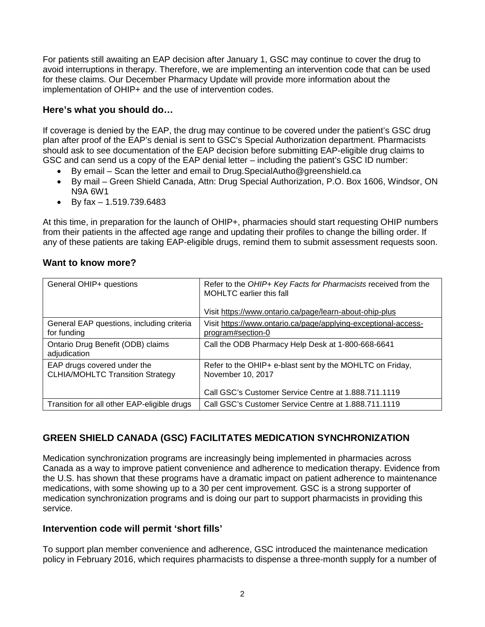For patients still awaiting an EAP decision after January 1, GSC may continue to cover the drug to avoid interruptions in therapy. Therefore, we are implementing an intervention code that can be used for these claims. Our December Pharmacy Update will provide more information about the implementation of OHIP+ and the use of intervention codes.

## **Here's what you should do…**

If coverage is denied by the EAP, the drug may continue to be covered under the patient's GSC drug plan after proof of the EAP's denial is sent to GSC's Special Authorization department. Pharmacists should ask to see documentation of the EAP decision before submitting EAP-eligible drug claims to GSC and can send us a copy of the EAP denial letter – including the patient's GSC ID number:

- By email Scan the letter and email to Drug.SpecialAutho@greenshield.ca
- By mail Green Shield Canada, Attn: Drug Special Authorization, P.O. Box 1606, Windsor, ON N9A 6W1
- By fax  $-1.519.739.6483$

At this time, in preparation for the launch of OHIP+, pharmacies should start requesting OHIP numbers from their patients in the affected age range and updating their profiles to change the billing order. If any of these patients are taking EAP-eligible drugs, remind them to submit assessment requests soon.

| General OHIP+ questions                                                | Refer to the OHIP+ Key Facts for Pharmacists received from the<br>MOHLTC earlier this fall<br>Visit https://www.ontario.ca/page/learn-about-ohip-plus |
|------------------------------------------------------------------------|-------------------------------------------------------------------------------------------------------------------------------------------------------|
| General EAP questions, including criteria<br>for funding               | Visit https://www.ontario.ca/page/applying-exceptional-access-<br>program#section-0                                                                   |
| Ontario Drug Benefit (ODB) claims<br>adjudication                      | Call the ODB Pharmacy Help Desk at 1-800-668-6641                                                                                                     |
| EAP drugs covered under the<br><b>CLHIA/MOHLTC Transition Strategy</b> | Refer to the OHIP+ e-blast sent by the MOHLTC on Friday,<br>November 10, 2017<br>Call GSC's Customer Service Centre at 1.888.711.1119                 |
| Transition for all other EAP-eligible drugs                            | Call GSC's Customer Service Centre at 1.888.711.1119                                                                                                  |

# **GREEN SHIELD CANADA (GSC) FACILITATES MEDICATION SYNCHRONIZATION**

Medication synchronization programs are increasingly being implemented in pharmacies across Canada as a way to improve patient convenience and adherence to medication therapy. Evidence from the U.S. has shown that these programs have a dramatic impact on patient adherence to maintenance medications, with some showing up to a 30 per cent improvement. GSC is a strong supporter of medication synchronization programs and is doing our part to support pharmacists in providing this service.

### **Intervention code will permit 'short fills'**

To support plan member convenience and adherence, GSC introduced the maintenance medication policy in February 2016, which requires pharmacists to dispense a three-month supply for a number of